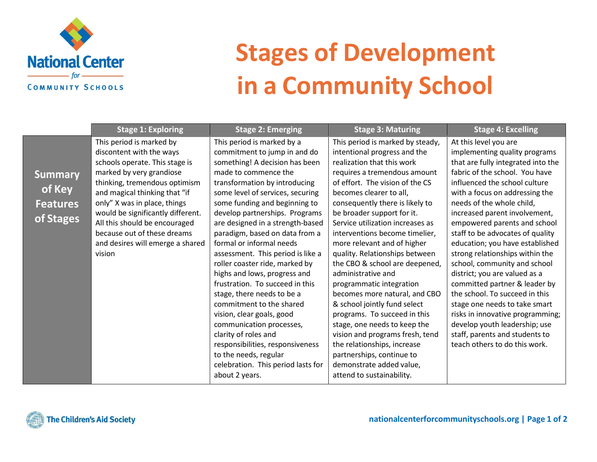

## **Stages of Development in a Community School**

|                                                          | <b>Stage 1: Exploring</b>                                                                                                                                                                                                                                                                                                                                               | <b>Stage 2: Emerging</b>                                                                                                                                                                                                                                                                                                                                                                                                                                                                                                                                                                                                                                                                                                                                                 | <b>Stage 3: Maturing</b>                                                                                                                                                                                                                                                                                                                                                                                                                                                                                                                                                                                                                                                                                                                                                          | <b>Stage 4: Excelling</b>                                                                                                                                                                                                                                                                                                                                                                                                                                                                                                                                                                                                                                                                                              |
|----------------------------------------------------------|-------------------------------------------------------------------------------------------------------------------------------------------------------------------------------------------------------------------------------------------------------------------------------------------------------------------------------------------------------------------------|--------------------------------------------------------------------------------------------------------------------------------------------------------------------------------------------------------------------------------------------------------------------------------------------------------------------------------------------------------------------------------------------------------------------------------------------------------------------------------------------------------------------------------------------------------------------------------------------------------------------------------------------------------------------------------------------------------------------------------------------------------------------------|-----------------------------------------------------------------------------------------------------------------------------------------------------------------------------------------------------------------------------------------------------------------------------------------------------------------------------------------------------------------------------------------------------------------------------------------------------------------------------------------------------------------------------------------------------------------------------------------------------------------------------------------------------------------------------------------------------------------------------------------------------------------------------------|------------------------------------------------------------------------------------------------------------------------------------------------------------------------------------------------------------------------------------------------------------------------------------------------------------------------------------------------------------------------------------------------------------------------------------------------------------------------------------------------------------------------------------------------------------------------------------------------------------------------------------------------------------------------------------------------------------------------|
| <b>Summary</b><br>of Key<br><b>Features</b><br>of Stages | This period is marked by<br>discontent with the ways<br>schools operate. This stage is<br>marked by very grandiose<br>thinking, tremendous optimism<br>and magical thinking that "if<br>only" X was in place, things<br>would be significantly different.<br>All this should be encouraged<br>because out of these dreams<br>and desires will emerge a shared<br>vision | This period is marked by a<br>commitment to jump in and do<br>something! A decision has been<br>made to commence the<br>transformation by introducing<br>some level of services, securing<br>some funding and beginning to<br>develop partnerships. Programs<br>are designed in a strength-based<br>paradigm, based on data from a<br>formal or informal needs<br>assessment. This period is like a<br>roller coaster ride, marked by<br>highs and lows, progress and<br>frustration. To succeed in this<br>stage, there needs to be a<br>commitment to the shared<br>vision, clear goals, good<br>communication processes,<br>clarity of roles and<br>responsibilities, responsiveness<br>to the needs, regular<br>celebration. This period lasts for<br>about 2 years. | This period is marked by steady,<br>intentional progress and the<br>realization that this work<br>requires a tremendous amount<br>of effort. The vision of the CS<br>becomes clearer to all,<br>consequently there is likely to<br>be broader support for it.<br>Service utilization increases as<br>interventions become timelier,<br>more relevant and of higher<br>quality. Relationships between<br>the CBO & school are deepened,<br>administrative and<br>programmatic integration<br>becomes more natural, and CBO<br>& school jointly fund select<br>programs. To succeed in this<br>stage, one needs to keep the<br>vision and programs fresh, tend<br>the relationships, increase<br>partnerships, continue to<br>demonstrate added value,<br>attend to sustainability. | At this level you are<br>implementing quality programs<br>that are fully integrated into the<br>fabric of the school. You have<br>influenced the school culture<br>with a focus on addressing the<br>needs of the whole child,<br>increased parent involvement,<br>empowered parents and school<br>staff to be advocates of quality<br>education; you have established<br>strong relationships within the<br>school, community and school<br>district; you are valued as a<br>committed partner & leader by<br>the school. To succeed in this<br>stage one needs to take smart<br>risks in innovative programming;<br>develop youth leadership; use<br>staff, parents and students to<br>teach others to do this work. |
|                                                          |                                                                                                                                                                                                                                                                                                                                                                         |                                                                                                                                                                                                                                                                                                                                                                                                                                                                                                                                                                                                                                                                                                                                                                          |                                                                                                                                                                                                                                                                                                                                                                                                                                                                                                                                                                                                                                                                                                                                                                                   |                                                                                                                                                                                                                                                                                                                                                                                                                                                                                                                                                                                                                                                                                                                        |